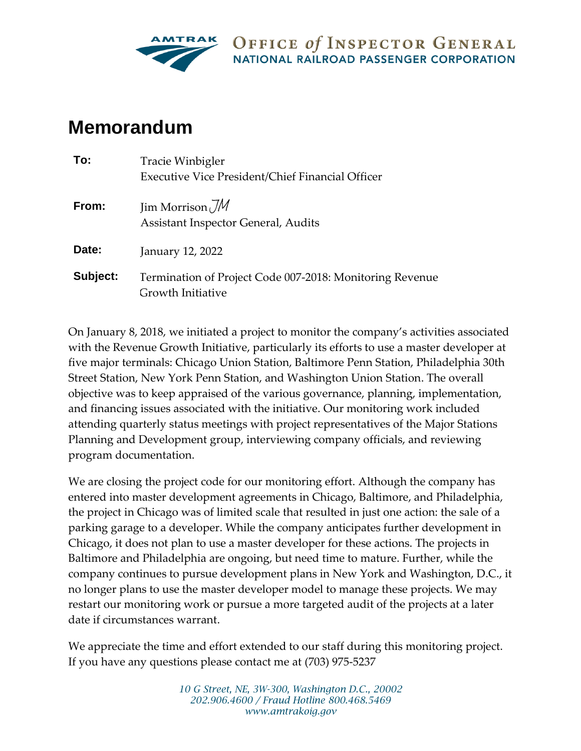

OFFICE of INSPECTOR GENERAL NATIONAL RAILROAD PASSENGER CORPORATION

## **Memorandum**

| To:      | Tracie Winbigler<br><b>Executive Vice President/Chief Financial Officer</b>   |
|----------|-------------------------------------------------------------------------------|
| From:    | Jim Morrison $\mathcal{JM}$<br>Assistant Inspector General, Audits            |
| Date:    | January 12, 2022                                                              |
| Subject: | Termination of Project Code 007-2018: Monitoring Revenue<br>Growth Initiative |

On January 8, 2018, we initiated a project to monitor the company's activities associated with the Revenue Growth Initiative, particularly its efforts to use a master developer at five major terminals: Chicago Union Station, Baltimore Penn Station, Philadelphia 30th Street Station, New York Penn Station, and Washington Union Station. The overall objective was to keep appraised of the various governance, planning, implementation, and financing issues associated with the initiative. Our monitoring work included attending quarterly status meetings with project representatives of the Major Stations Planning and Development group, interviewing company officials, and reviewing program documentation.

We are closing the project code for our monitoring effort. Although the company has entered into master development agreements in Chicago, Baltimore, and Philadelphia, the project in Chicago was of limited scale that resulted in just one action: the sale of a parking garage to a developer. While the company anticipates further development in Chicago, it does not plan to use a master developer for these actions. The projects in Baltimore and Philadelphia are ongoing, but need time to mature. Further, while the company continues to pursue development plans in New York and Washington, D.C., it no longer plans to use the master developer model to manage these projects. We may restart our monitoring work or pursue a more targeted audit of the projects at a later date if circumstances warrant.

We appreciate the time and effort extended to our staff during this monitoring project. If you have any questions please contact me at (703) 975-5237

> *10 G Street, NE, 3W-300, Washington D.C., 20002 202.906.4600 / Fraud Hotline 800.468.5469 www.amtrakoig.gov*